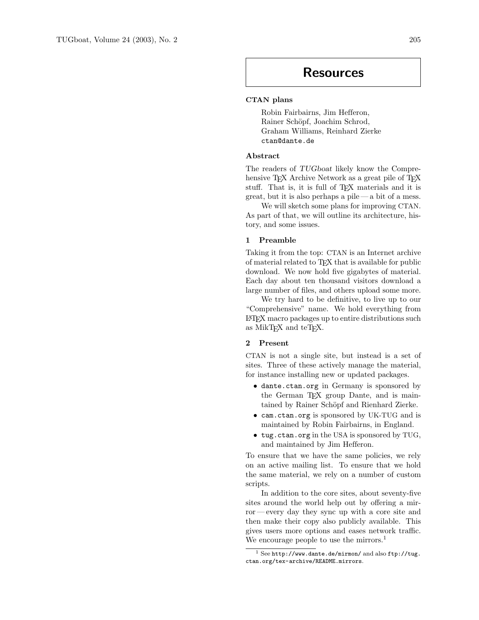# Resources

## CTAN plans

Robin Fairbairns, Jim Hefferon, Rainer Schöpf, Joachim Schrod, Graham Williams, Reinhard Zierke ctan@dante.de

#### Abstract

The readers of TUGboat likely know the Comprehensive T<sub>EX</sub> Archive Network as a great pile of T<sub>EX</sub> stuff. That is, it is full of T<sub>E</sub>X materials and it is  $\gamma$  great, but it is also perhaps a pile — a bit of a mess.

We will sketch some plans for improving CTAN. As part of that, we will outline its architecture, history, and some issues.

### 1 Preamble

Taking it from the top: CTAN is an Internet archive of material related to T<sub>F</sub>X that is available for public download. We now hold five gigabytes of material. Each day about ten thousand visitors download a large number of files, and others upload some more.

We try hard to be definitive, to live up to our "Comprehensive" name. We hold everything from LATEX macro packages up to entire distributions such as MikT<sub>F</sub>X and teT<sub>F</sub>X.

#### 2 Present

CTAN is not a single site, but instead is a set of sites. Three of these actively manage the material, for instance installing new or updated packages.

- dante.ctan.org in Germany is sponsored by the German TEX group Dante, and is maintained by Rainer Schöpf and Rienhard Zierke.
- cam.ctan.org is sponsored by UK-TUG and is maintained by Robin Fairbairns, in England.
- tug.ctan.org in the USA is sponsored by TUG, and maintained by Jim Hefferon.

To ensure that we have the same policies, we rely on an active mailing list. To ensure that we hold the same material, we rely on a number of custom scripts.

In addition to the core sites, about seventy-five sites around the world help out by offering a mirror— every day they sync up with a core site and then make their copy also publicly available. This gives users more options and eases network traffic. We encourage people to use the mirrors.<sup>1</sup>

 $1$  See http://www.dante.de/mirmon/ and also ftp://tug. ctan.org/tex-archive/README.mirrors.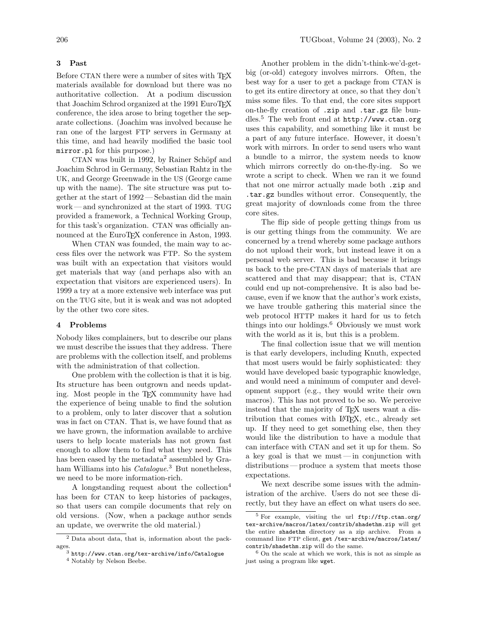#### 3 Past

Before CTAN there were a number of sites with TFX materials available for download but there was no authoritative collection. At a podium discussion that Joachim Schrod organized at the 1991 EuroTEX conference, the idea arose to bring together the separate collections. (Joachim was involved because he ran one of the largest FTP servers in Germany at this time, and had heavily modified the basic tool mirror.pl for this purpose.)

CTAN was built in 1992, by Rainer Schöpf and Joachim Schrod in Germany, Sebastian Rahtz in the UK, and George Greenwade in the US (George came up with the name). The site structure was put together at the start of 1992 — Sebastian did the main work— and synchronized at the start of 1993. TUG provided a framework, a Technical Working Group, for this task's organization. CTAN was officially announced at the EuroT<sub>EX</sub> conference in Aston, 1993.

When CTAN was founded, the main way to access files over the network was FTP. So the system was built with an expectation that visitors would get materials that way (and perhaps also with an expectation that visitors are experienced users). In 1999 a try at a more extensive web interface was put on the TUG site, but it is weak and was not adopted by the other two core sites.

#### 4 Problems

Nobody likes complainers, but to describe our plans we must describe the issues that they address. There are problems with the collection itself, and problems with the administration of that collection.

One problem with the collection is that it is big. Its structure has been outgrown and needs updating. Most people in the T<sub>E</sub>X community have had the experience of being unable to find the solution to a problem, only to later discover that a solution was in fact on CTAN. That is, we have found that as we have grown, the information available to archive users to help locate materials has not grown fast enough to allow them to find what they need. This has been eased by the metadata<sup>2</sup> assembled by Graham Williams into his *Catalogue*.<sup>3</sup> But nonetheless, we need to be more information-rich.

A longstanding request about the collection<sup>4</sup> has been for CTAN to keep histories of packages, so that users can compile documents that rely on old versions. (Now, when a package author sends an update, we overwrite the old material.)

Another problem in the didn't-think-we'd-getbig (or-old) category involves mirrors. Often, the best way for a user to get a package from CTAN is to get its entire directory at once, so that they don't miss some files. To that end, the core sites support on-the-fly creation of .zip and .tar.gz file bundles.<sup>5</sup> The web front end at http://www.ctan.org uses this capability, and something like it must be a part of any future interface. However, it doesn't work with mirrors. In order to send users who want a bundle to a mirror, the system needs to know which mirrors correctly do on-the-fly-ing. So we wrote a script to check. When we ran it we found that not one mirror actually made both .zip and .tar.gz bundles without error. Consequently, the great majority of downloads come from the three core sites.

The flip side of people getting things from us is our getting things from the community. We are concerned by a trend whereby some package authors do not upload their work, but instead leave it on a personal web server. This is bad because it brings us back to the pre-CTAN days of materials that are scattered and that may disappear; that is, CTAN could end up not-comprehensive. It is also bad because, even if we know that the author's work exists, we have trouble gathering this material since the web protocol HTTP makes it hard for us to fetch things into our holdings.<sup>6</sup> Obviously we must work with the world as it is, but this is a problem.

The final collection issue that we will mention is that early developers, including Knuth, expected that most users would be fairly sophisticated: they would have developed basic typographic knowledge, and would need a minimum of computer and development support (e.g., they would write their own macros). This has not proved to be so. We perceive instead that the majority of TEX users want a distribution that comes with LATEX, etc., already set up. If they need to get something else, then they would like the distribution to have a module that can interface with CTAN and set it up for them. So a key goal is that we must— in conjunction with distributions — produce a system that meets those expectations.

We next describe some issues with the administration of the archive. Users do not see these directly, but they have an effect on what users do see.

<sup>2</sup> Data about data, that is, information about the packages.

 $^3$ http://www.ctan.org/tex-archive/info/Catalogue

<sup>4</sup> Notably by Nelson Beebe.

<sup>5</sup> For example, visiting the url ftp://ftp.ctan.org/ tex-archive/macros/latex/contrib/shadethm.zip will get the entire shadethm directory as a zip archive. From a command line FTP client, get /tex-archive/macros/latex/ contrib/shadethm.zip will do the same.

<sup>6</sup> On the scale at which we work, this is not as simple as just using a program like wget.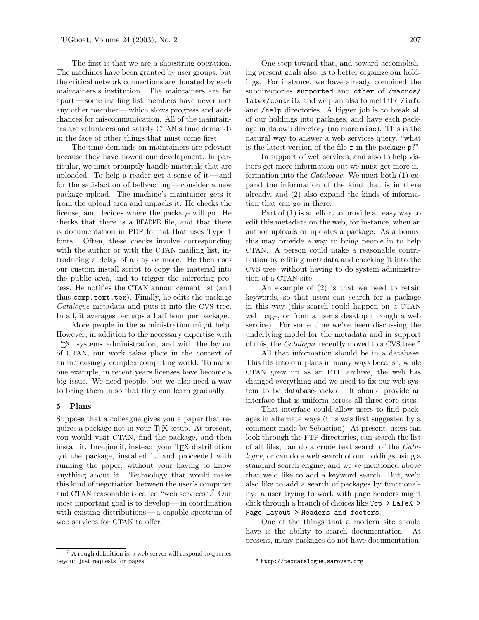The first is that we are a shoestring operation. The machines have been granted by user groups, but the critical network connections are donated by each maintainers's institution. The maintainers are far apart — some mailing list members have never met any other member— which slows progress and adds chances for miscommunication. All of the maintainers are volunteers and satisfy CTAN's time demands in the face of other things that must come first.

The time demands on maintainers are relevant because they have slowed our development. In particular, we must promptly handle materials that are uploaded. To help a reader get a sense of it — and for the satisfaction of bellyaching — consider a new package upload. The machine's maintainer gets it from the upload area and unpacks it. He checks the license, and decides where the package will go. He checks that there is a README file, and that there is documentation in PDF format that uses Type 1 fonts. Often, these checks involve corresponding with the author or with the CTAN mailing list, introducing a delay of a day or more. He then uses our custom install script to copy the material into the public area, and to trigger the mirroring process. He notifies the CTAN announcement list (and thus comp.text.tex). Finally, he edits the package Catalogue metadata and puts it into the CVS tree. In all, it averages perhaps a half hour per package.

More people in the administration might help. However, in addition to the necessary expertise with TEX, systems administration, and with the layout of CTAN, our work takes place in the context of an increasingly complex computing world. To name one example, in recent years licenses have become a big issue. We need people, but we also need a way to bring them in so that they can learn gradually.

#### 5 Plans

Suppose that a colleague gives you a paper that requires a package not in your TEX setup. At present, you would visit CTAN, find the package, and then install it. Imagine if, instead, your TEX distribution got the package, installed it, and proceeded with running the paper, without your having to know anything about it. Technology that would make this kind of negotiation between the user's computer and CTAN reasonable is called "web services".<sup>7</sup> Our most important goal is to develop — in coordination with existing distributions — a capable spectrum of web services for CTAN to offer.

One step toward that, and toward accomplishing present goals also, is to better organize our holdings. For instance, we have already combined the subdirectories supported and other of /macros/ latex/contrib, and we plan also to meld the /info and /help directories. A bigger job is to break all of our holdings into packages, and have each package in its own directory (no more misc). This is the natural way to answer a web services query, "what

is the latest version of the file  $f$  in the package  $p$ ?" In support of web services, and also to help visitors get more information out we must get more information into the *Catalogue*. We must both  $(1)$  expand the information of the kind that is in there already, and (2) also expand the kinds of information that can go in there.

Part of (1) is an effort to provide an easy way to edit this metadata on the web, for instance, when an author uploads or updates a package. As a bonus, this may provide a way to bring people in to help CTAN. A person could make a reasonable contribution by editing metadata and checking it into the CVS tree, without having to do system administration of a CTAN site.

An example of (2) is that we need to retain keywords, so that users can search for a package in this way (this search could happen on a CTAN web page, or from a user's desktop through a web service). For some time we've been discussing the underlying model for the metadata and in support of this, the *Catalogue* recently moved to a CVS tree.<sup>8</sup>

All that information should be in a database. This fits into our plans in many ways because, while CTAN grew up as an FTP archive, the web has changed everything and we need to fix our web system to be database-backed. It should provide an interface that is uniform across all three core sites.

That interface could allow users to find packages in alternate ways (this was first suggested by a comment made by Sebastian). At present, users can look through the FTP directories, can search the list of all files, can do a crude text search of the Catalogue, or can do a web search of our holdings using a standard search engine, and we've mentioned above that we'd like to add a keyword search. But, we'd also like to add a search of packages by functionality: a user trying to work with page headers might click through a branch of choices like Top > LaTeX > Page layout > Headers and footers.

One of the things that a modern site should have is the ability to search documentation. At present, many packages do not have documentation,

<sup>7</sup> A rough definition is: a web server will respond to queries beyond just requests for pages.

<sup>8</sup> http://texcatalogue.sarovar.org